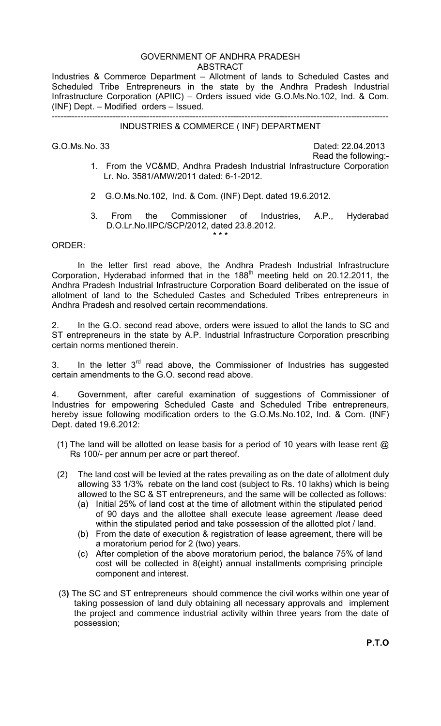## GOVERNMENT OF ANDHRA PRADESH ABSTRACT

Industries & Commerce Department – Allotment of lands to Scheduled Castes and Scheduled Tribe Entrepreneurs in the state by the Andhra Pradesh Industrial Infrastructure Corporation (APIIC) – Orders issued vide G.O.Ms.No.102, Ind. & Com. (INF) Dept. – Modified orders – Issued.

## --------------------------------------------------------------------------------------------------------------------- INDUSTRIES & COMMERCE ( INF) DEPARTMENT

G.O.Ms.No. 33 Dated: 22.04.2013 Read the following:-

- 1. From the VC&MD, Andhra Pradesh Industrial Infrastructure Corporation Lr. No. 3581/AMW/2011 dated: 6-1-2012.
- 2 G.O.Ms.No.102, Ind. & Com. (INF) Dept. dated 19.6.2012.
- 3. From the Commissioner of Industries, A.P., Hyderabad D.O.Lr.No.IIPC/SCP/2012, dated 23.8.2012.

## ORDER:

\* \* \*

In the letter first read above, the Andhra Pradesh Industrial Infrastructure Corporation, Hyderabad informed that in the 188<sup>th</sup> meeting held on 20.12.2011, the Andhra Pradesh Industrial Infrastructure Corporation Board deliberated on the issue of allotment of land to the Scheduled Castes and Scheduled Tribes entrepreneurs in Andhra Pradesh and resolved certain recommendations.

2. In the G.O. second read above, orders were issued to allot the lands to SC and ST entrepreneurs in the state by A.P. Industrial Infrastructure Corporation prescribing certain norms mentioned therein.

3. In the letter  $3<sup>rd</sup>$  read above, the Commissioner of Industries has suggested certain amendments to the G.O. second read above.

4. Government, after careful examination of suggestions of Commissioner of Industries for empowering Scheduled Caste and Scheduled Tribe entrepreneurs, hereby issue following modification orders to the G.O.Ms.No.102, Ind. & Com. (INF) Dept. dated 19.6.2012:

- (1) The land will be allotted on lease basis for a period of 10 years with lease rent  $@$ Rs 100/- per annum per acre or part thereof.
- (2) The land cost will be levied at the rates prevailing as on the date of allotment duly allowing 33 1/3% rebate on the land cost (subject to Rs. 10 lakhs) which is being allowed to the SC & ST entrepreneurs, and the same will be collected as follows:
	- (a) Initial 25% of land cost at the time of allotment within the stipulated period of 90 days and the allottee shall execute lease agreement /lease deed within the stipulated period and take possession of the allotted plot / land.
	- (b) From the date of execution & registration of lease agreement, there will be a moratorium period for 2 (two) years.
	- (c) After completion of the above moratorium period, the balance 75% of land cost will be collected in 8(eight) annual installments comprising principle component and interest.
- (3**)** The SC and ST entrepreneurs should commence the civil works within one year of taking possession of land duly obtaining all necessary approvals and implement the project and commence industrial activity within three years from the date of possession;